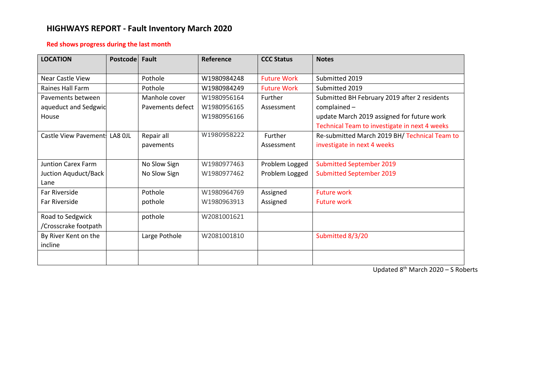# **HIGHWAYS REPORT - Fault Inventory March 2020**

# **Red shows progress during the last month**

| <b>LOCATION</b>               | <b>Postcode</b> | Fault            | Reference   | <b>CCC Status</b>  | <b>Notes</b>                                  |
|-------------------------------|-----------------|------------------|-------------|--------------------|-----------------------------------------------|
| <b>Near Castle View</b>       |                 | Pothole          | W1980984248 | <b>Future Work</b> | Submitted 2019                                |
| Raines Hall Farm              |                 | Pothole          | W1980984249 | <b>Future Work</b> | Submitted 2019                                |
| Pavements between             |                 | Manhole cover    | W1980956164 | Further            | Submitted BH February 2019 after 2 residents  |
| aqueduct and Sedgwic          |                 | Pavements defect | W1980956165 | Assessment         | $complained -$                                |
| House                         |                 |                  | W1980956166 |                    | update March 2019 assigned for future work    |
|                               |                 |                  |             |                    | Technical Team to investigate in next 4 weeks |
| Castle View Pavement: LA8 OJL |                 | Repair all       | W1980958222 | Further            | Re-submitted March 2019 BH/ Technical Team to |
|                               |                 | pavements        |             | Assessment         | investigate in next 4 weeks                   |
|                               |                 |                  |             |                    |                                               |
| <b>Juntion Carex Farm</b>     |                 | No Slow Sign     | W1980977463 | Problem Logged     | <b>Submitted September 2019</b>               |
| Juction Aquduct/Back          |                 | No Slow Sign     | W1980977462 | Problem Logged     | <b>Submitted September 2019</b>               |
| Lane                          |                 |                  |             |                    |                                               |
| Far Riverside                 |                 | Pothole          | W1980964769 | Assigned           | <b>Future work</b>                            |
| Far Riverside                 |                 | pothole          | W1980963913 | Assigned           | <b>Future work</b>                            |
| Road to Sedgwick              |                 | pothole          | W2081001621 |                    |                                               |
| /Crosscrake footpath          |                 |                  |             |                    |                                               |
| By River Kent on the          |                 | Large Pothole    | W2081001810 |                    | Submitted 8/3/20                              |
| incline                       |                 |                  |             |                    |                                               |
|                               |                 |                  |             |                    |                                               |

Updated 8<sup>th</sup> March 2020 - S Roberts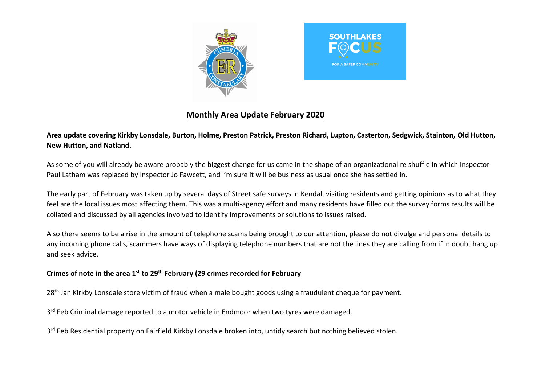



# **Monthly Area Update February 2020**

**Area update covering Kirkby Lonsdale, Burton, Holme, Preston Patrick, Preston Richard, Lupton, Casterton, Sedgwick, Stainton, Old Hutton, New Hutton, and Natland.**

As some of you will already be aware probably the biggest change for us came in the shape of an organizational re shuffle in which Inspector Paul Latham was replaced by Inspector Jo Fawcett, and I'm sure it will be business as usual once she has settled in.

The early part of February was taken up by several days of Street safe surveys in Kendal, visiting residents and getting opinions as to what they feel are the local issues most affecting them. This was a multi-agency effort and many residents have filled out the survey forms results will be collated and discussed by all agencies involved to identify improvements or solutions to issues raised.

Also there seems to be a rise in the amount of telephone scams being brought to our attention, please do not divulge and personal details to any incoming phone calls, scammers have ways of displaying telephone numbers that are not the lines they are calling from if in doubt hang up and seek advice.

# **Crimes of note in the area 1st to 29th February (29 crimes recorded for February**

28<sup>th</sup> Jan Kirkby Lonsdale store victim of fraud when a male bought goods using a fraudulent cheque for payment.

3<sup>rd</sup> Feb Criminal damage reported to a motor vehicle in Endmoor when two tyres were damaged.

3<sup>rd</sup> Feb Residential property on Fairfield Kirkby Lonsdale broken into, untidy search but nothing believed stolen.